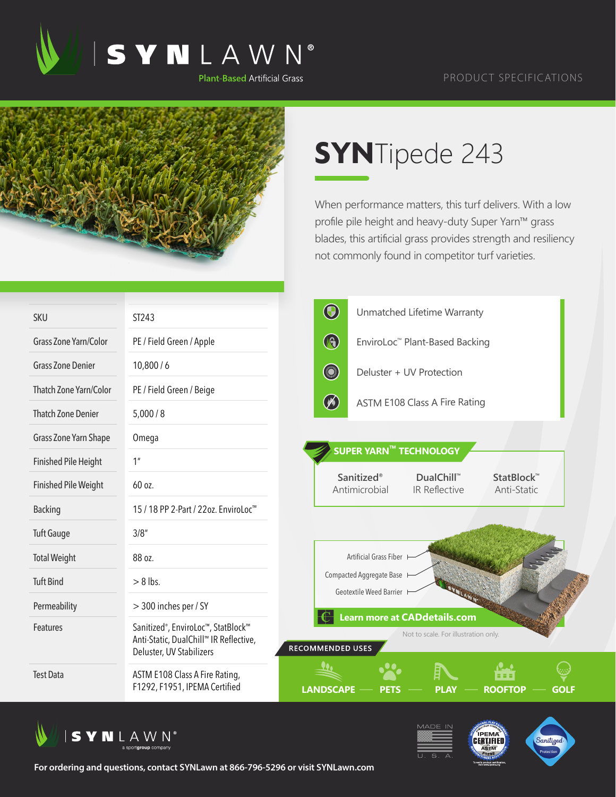

## PRODUCT SPECIFICATIONS



## **SYN**Tipede 243

When performance matters, this turf delivers. With a low profile pile height and heavy-duty Super Yarn™ grass blades, this artificial grass provides strength and resiliency not commonly found in competitor turf varieties.

| <b>SKU</b>                  | ST243                                                                                                                 | $\bigcirc$              | Unmatched Lifetime Warranty                                                                         |             |
|-----------------------------|-----------------------------------------------------------------------------------------------------------------------|-------------------------|-----------------------------------------------------------------------------------------------------|-------------|
| Grass Zone Yarn/Color       | PE / Field Green / Apple                                                                                              | B                       | EnviroLoc™ Plant-Based Backing                                                                      |             |
| <b>Grass Zone Denier</b>    | 10,800/6                                                                                                              | <b>CONTRACTOR</b>       | Deluster + UV Protection                                                                            |             |
| Thatch Zone Yarn/Color      | PE / Field Green / Beige                                                                                              |                         |                                                                                                     |             |
| <b>Thatch Zone Denier</b>   | 5,000/8                                                                                                               | $\circledast$           | ASTM E108 Class A Fire Rating                                                                       |             |
| Grass Zone Yarn Shape       | Omega                                                                                                                 |                         |                                                                                                     |             |
| <b>Finished Pile Height</b> | 1 <sup>''</sup>                                                                                                       |                         | <b>SUPER YARN™ TECHNOLOGY</b>                                                                       |             |
| <b>Finished Pile Weight</b> | 60 oz.                                                                                                                |                         | Sanitized®<br>DualChill™<br>StatBlock <sup>™</sup><br>Antimicrobial<br>IR Reflective<br>Anti-Static |             |
| <b>Backing</b>              | 15 / 18 PP 2-Part / 22oz. EnviroLoc <sup>™</sup>                                                                      |                         |                                                                                                     |             |
| <b>Tuft Gauge</b>           | 3/8''                                                                                                                 |                         |                                                                                                     |             |
| <b>Total Weight</b>         | 88 oz.                                                                                                                |                         | Artificial Grass Fiber                                                                              |             |
| <b>Tuft Bind</b>            | $> 8$ lbs.                                                                                                            |                         | Compacted Aggregate Base I<br>Geotextile Weed Barrier H                                             |             |
| Permeability                | > 300 inches per / SY                                                                                                 |                         |                                                                                                     |             |
| Features                    | Sanitized <sup>®</sup> , EnviroLoc™, StatBlock™<br>Anti-Static, DualChill™ IR Reflective,<br>Deluster, UV Stabilizers | <b>RECOMMENDED USES</b> | <b>Learn more at CADdetails.com</b><br>Not to scale. For illustration only.                         |             |
| <b>Test Data</b>            | ASTM E108 Class A Fire Rating,<br>F1292, F1951, IPEMA Certified                                                       | <b>LANDSCAPE</b>        | <b>ROOFTOP</b><br><b>PLAY</b><br><b>PETS</b>                                                        | <b>GOLF</b> |







**For ordering and questions, contact SYNLawn at 866-796-5296 or visit SYNLawn.com**